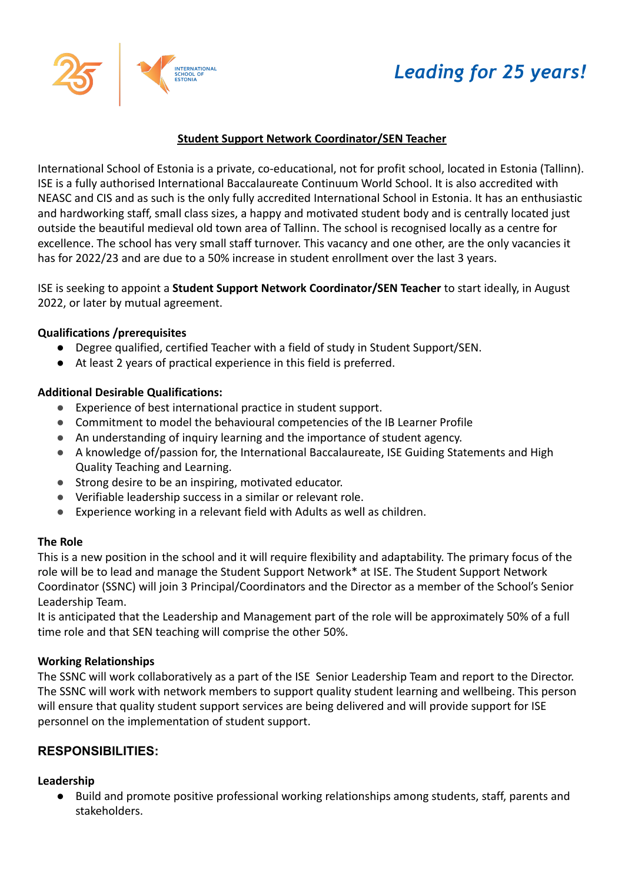# *Leading for 25 years!*



## **Student Support Network Coordinator/SEN Teacher**

International School of Estonia is a private, co-educational, not for profit school, located in Estonia (Tallinn). ISE is a fully authorised International Baccalaureate Continuum World School. It is also accredited with NEASC and CIS and as such is the only fully accredited International School in Estonia. It has an enthusiastic and hardworking staff, small class sizes, a happy and motivated student body and is centrally located just outside the beautiful medieval old town area of Tallinn. The school is recognised locally as a centre for excellence. The school has very small staff turnover. This vacancy and one other, are the only vacancies it has for 2022/23 and are due to a 50% increase in student enrollment over the last 3 years.

ISE is seeking to appoint a **Student Support Network Coordinator/SEN Teacher** to start ideally, in August 2022, or later by mutual agreement.

#### **Qualifications /prerequisites**

- Degree qualified, certified Teacher with a field of study in Student Support/SEN.
- At least 2 years of practical experience in this field is preferred.

#### **Additional Desirable Qualifications:**

- Experience of best international practice in student support.
- Commitment to model the behavioural competencies of the IB Learner Profile
- An understanding of inquiry learning and the importance of student agency.
- A knowledge of/passion for, the International Baccalaureate, ISE Guiding Statements and High Quality Teaching and Learning.
- Strong desire to be an inspiring, motivated educator.
- Verifiable leadership success in a similar or relevant role.
- Experience working in a relevant field with Adults as well as children.

#### **The Role**

This is a new position in the school and it will require flexibility and adaptability. The primary focus of the role will be to lead and manage the Student Support Network\* at ISE. The Student Support Network Coordinator (SSNC) will join 3 Principal/Coordinators and the Director as a member of the School's Senior Leadership Team.

It is anticipated that the Leadership and Management part of the role will be approximately 50% of a full time role and that SEN teaching will comprise the other 50%.

#### **Working Relationships**

The SSNC will work collaboratively as a part of the ISE Senior Leadership Team and report to the Director. The SSNC will work with network members to support quality student learning and wellbeing. This person will ensure that quality student support services are being delivered and will provide support for ISE personnel on the implementation of student support.

#### **RESPONSIBILITIES:**

#### **Leadership**

● Build and promote positive professional working relationships among students, staff, parents and stakeholders.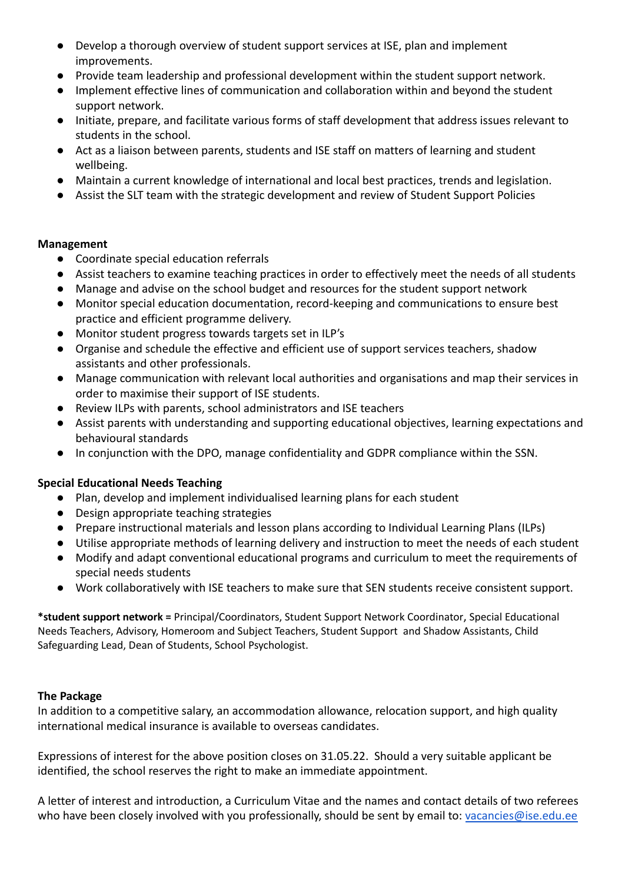- Develop a thorough overview of student support services at ISE, plan and implement improvements.
- Provide team leadership and professional development within the student support network.
- Implement effective lines of communication and collaboration within and beyond the student support network.
- Initiate, prepare, and facilitate various forms of staff development that address issues relevant to students in the school.
- Act as a liaison between parents, students and ISE staff on matters of learning and student wellbeing.
- Maintain a current knowledge of international and local best practices, trends and legislation.
- Assist the SLT team with the strategic development and review of Student Support Policies

### **Management**

- Coordinate special education referrals
- Assist teachers to examine teaching practices in order to effectively meet the needs of all students
- Manage and advise on the school budget and resources for the student support network
- Monitor special education documentation, record-keeping and communications to ensure best practice and efficient programme delivery.
- Monitor student progress towards targets set in ILP's
- Organise and schedule the effective and efficient use of support services teachers, shadow assistants and other professionals.
- Manage communication with relevant local authorities and organisations and map their services in order to maximise their support of ISE students.
- Review ILPs with parents, school administrators and ISE teachers
- Assist parents with understanding and supporting educational objectives, learning expectations and behavioural standards
- In conjunction with the DPO, manage confidentiality and GDPR compliance within the SSN.

## **Special Educational Needs Teaching**

- Plan, develop and implement individualised learning plans for each student
- Design appropriate teaching strategies
- Prepare instructional materials and lesson plans according to Individual Learning Plans (ILPs)
- Utilise appropriate methods of learning delivery and instruction to meet the needs of each student
- Modify and adapt conventional educational programs and curriculum to meet the requirements of special needs students
- Work collaboratively with ISE teachers to make sure that SEN students receive consistent support.

**\*student support network =** Principal/Coordinators, Student Support Network Coordinator, Special Educational Needs Teachers, Advisory, Homeroom and Subject Teachers, Student Support and Shadow Assistants, Child Safeguarding Lead, Dean of Students, School Psychologist.

## **The Package**

In addition to a competitive salary, an accommodation allowance, relocation support, and high quality international medical insurance is available to overseas candidates.

Expressions of interest for the above position closes on 31.05.22. Should a very suitable applicant be identified, the school reserves the right to make an immediate appointment.

A letter of interest and introduction, a Curriculum Vitae and the names and contact details of two referees who have been closely involved with you professionally, should be sent by email to: [vacancies@ise.edu.ee](mailto:vacancies@ise.edu.ee)